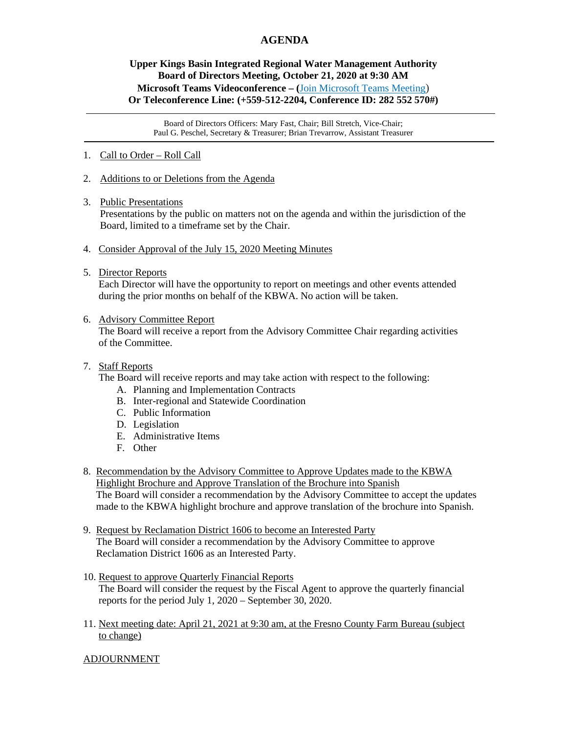## **AGENDA**

## **Upper Kings Basin Integrated Regional Water Management Authority Board of Directors Meeting, October 21, 2020 at 9:30 AM Microsoft Teams Videoconference – (**[Join Microsoft Teams Meeting\)](https://teams.microsoft.com/l/meetup-join/19%3ameeting_YTAyMmYwODgtNWFjNS00ZDk5LWEzOGYtNzVlMDVmM2JkMGI4%40thread.v2/0?context=%7b%22Tid%22%3a%225e8da365-04e7-405e-b4b5-7eec6c65b1f4%22%2c%22Oid%22%3a%220fb939cb-3b3f-4f6b-af4d-602f4442f9b4%22%7d) **Or Teleconference Line: (+559-512-2204, Conference ID: 282 552 570#)**

Board of Directors Officers: Mary Fast, Chair; Bill Stretch, Vice-Chair; Paul G. Peschel, Secretary & Treasurer; Brian Trevarrow, Assistant Treasurer

- 1. Call to Order Roll Call
- 2. Additions to or Deletions from the Agenda
- 3. Public Presentations

Presentations by the public on matters not on the agenda and within the jurisdiction of the Board, limited to a timeframe set by the Chair.

- 4. Consider Approval of the July 15, 2020 Meeting Minutes
- 5. Director Reports

 Each Director will have the opportunity to report on meetings and other events attended during the prior months on behalf of the KBWA. No action will be taken.

6. Advisory Committee Report

 The Board will receive a report from the Advisory Committee Chair regarding activities of the Committee.

## 7. Staff Reports

The Board will receive reports and may take action with respect to the following:

- A. Planning and Implementation Contracts
- B. Inter-regional and Statewide Coordination
- C. Public Information
- D. Legislation
- E. Administrative Items
- F. Other
- 8. Recommendation by the Advisory Committee to Approve Updates made to the KBWA Highlight Brochure and Approve Translation of the Brochure into Spanish The Board will consider a recommendation by the Advisory Committee to accept the updates made to the KBWA highlight brochure and approve translation of the brochure into Spanish.
- 9. Request by Reclamation District 1606 to become an Interested Party The Board will consider a recommendation by the Advisory Committee to approve Reclamation District 1606 as an Interested Party.
- 10. Request to approve Quarterly Financial Reports The Board will consider the request by the Fiscal Agent to approve the quarterly financial reports for the period July 1, 2020 – September 30, 2020.
- 11. Next meeting date: April 21, 2021 at 9:30 am, at the Fresno County Farm Bureau (subject to change)

## ADJOURNMENT